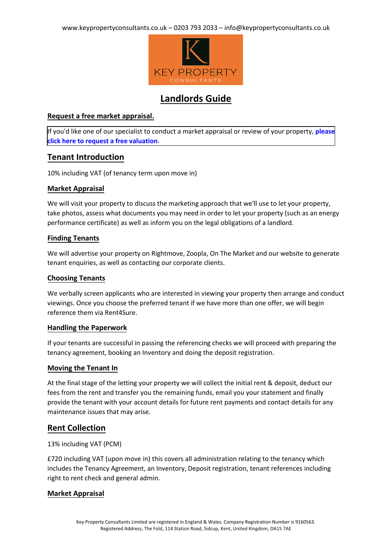

# **Landlords Guide**

## **Request a free market appraisal.**

[If you'd like one of our specialist to conduct a market appraisal or review of your property,](https://valuation.keypropertyconsultants.co.uk/home/1583-key-property-consultants) **please click here to request a free valuation**.

## **Tenant Introduction**

10% including VAT (of tenancy term upon move in)

## **Market Appraisal**

We will visit your property to discuss the marketing approach that we'll use to let your property, take photos, assess what documents you may need in order to let your property (such as an energy performance certificate) as well as inform you on the legal obligations of a landlord.

## **Finding Tenants**

We will advertise your property on Rightmove, Zoopla, On The Market and our website to generate tenant enquiries, as well as contacting our corporate clients.

## **Choosing Tenants**

We verbally screen applicants who are interested in viewing your property then arrange and conduct viewings. Once you choose the preferred tenant if we have more than one offer, we will begin reference them via Rent4Sure.

## **Handling the Paperwork**

If your tenants are successful in passing the referencing checks we will proceed with preparing the tenancy agreement, booking an Inventory and doing the deposit registration.

## **Moving the Tenant In**

At the final stage of the letting your property we will collect the initial rent & deposit, deduct our fees from the rent and transfer you the remaining funds, email you your statement and finally provide the tenant with your account details for future rent payments and contact details for any maintenance issues that may arise.

## **Rent Collection**

## 13% including VAT (PCM)

£720 including VAT (upon move in) this covers all administration relating to the tenancy which includes the Tenancy Agreement, an Inventory, Deposit registration, tenant references including right to rent check and general admin.

## **Market Appraisal**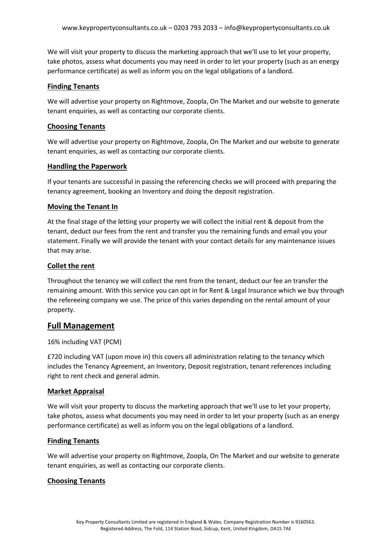We will visit your property to discuss the marketing approach that we'll use to let your property, take photos, assess what documents you may need in order to let your property (such as an energy performance certificate) as well as inform you on the legal obligations of a landlord.

### **Finding Tenants**

We will advertise your property on Rightmove, Zoopla, On The Market and our website to generate tenant enquiries, as well as contacting our corporate clients.

#### **Choosing Tenants**

We will advertise your property on Rightmove, Zoopla, On The Market and our website to generate tenant enquiries, as well as contacting our corporate clients.

#### **Handling the Paperwork**

If your tenants are successful in passing the referencing checks we will proceed with preparing the tenancy agreement, booking an Inventory and doing the deposit registration.

#### **Moving the Tenant In**

At the final stage of the letting your property we will collect the initial rent & deposit from the tenant, deduct our fees from the rent and transfer you the remaining funds and email you your statement. Finally we will provide the tenant with your contact details for any maintenance issues that may arise.

#### **Collet the rent**

Throughout the tenancy we will collect the rent from the tenant, deduct our fee an transfer the remaining amount. With this service you can opt in for Rent & Legal Insurance which we buy through the refereeing company we use. The price of this varies depending on the rental amount of your property.

## **Full Management**

#### 16% including VAT (PCM)

£720 including VAT (upon move in) this covers all administration relating to the tenancy which includes the Tenancy Agreement, an Inventory, Deposit registration, tenant references including right to rent check and general admin.

#### **Market Appraisal**

We will visit your property to discuss the marketing approach that we'll use to let your property, take photos, assess what documents you may need in order to let your property (such as an energy performance certificate) as well as inform you on the legal obligations of a landlord.

#### **Finding Tenants**

We will advertise your property on Rightmove, Zoopla, On The Market and our website to generate tenant enquiries, as well as contacting our corporate clients.

## **Choosing Tenants**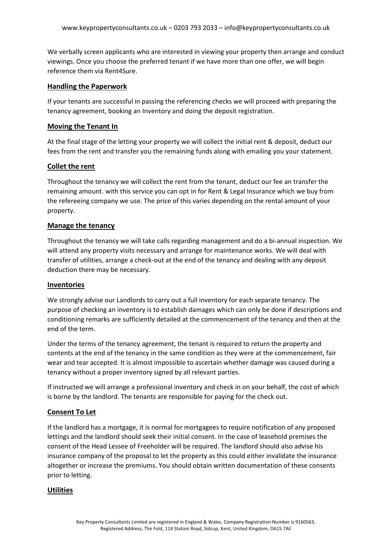We verbally screen applicants who are interested in viewing your property then arrange and conduct viewings. Once you choose the preferred tenant if we have more than one offer, we will begin reference them via Rent4Sure.

### **Handling the Paperwork**

If your tenants are successful in passing the referencing checks we will proceed with preparing the tenancy agreement, booking an Inventory and doing the deposit registration.

#### **Moving the Tenant In**

At the final stage of the letting your property we will collect the initial rent & deposit, deduct our fees from the rent and transfer you the remaining funds along with emailing you your statement.

## **Collet the rent**

Throughout the tenancy we will collect the rent from the tenant, deduct our fee an transfer the remaining amount. with this service you can opt in for Rent & Legal Insurance which we buy from the refereeing company we use. The price of this varies depending on the rental amount of your property.

#### **Manage the tenancy**

Throughout the tenancy we will take calls regarding management and do a bi-annual inspection. We will attend any property visits necessary and arrange for maintenance works. We will deal with transfer of utilities, arrange a check-out at the end of the tenancy and dealing with any deposit deduction there may be necessary.

#### **Inventories**

We strongly advise our Landlords to carry out a full inventory for each separate tenancy. The purpose of checking an inventory is to establish damages which can only be done if descriptions and conditioning remarks are sufficiently detailed at the commencement of the tenancy and then at the end of the term.

Under the terms of the tenancy agreement, the tenant is required to return the property and contents at the end of the tenancy in the same condition as they were at the commencement, fair wear and tear accepted. It is almost impossible to ascertain whether damage was caused during a tenancy without a proper inventory signed by all relevant parties.

If instructed we will arrange a professional inventory and check in on your behalf, the cost of which is borne by the landlord. The tenants are responsible for paying for the check out.

## **Consent To Let**

If the landlord has a mortgage, it is normal for mortgagees to require notification of any proposed lettings and the landlord should seek their initial consent. In the case of leasehold premises the consent of the Head Lessee of Freeholder will be required. The landlord should also advise his insurance company of the proposal to let the property as this could either invalidate the insurance altogether or increase the premiums. You should obtain written documentation of these consents prior to letting.

#### **Utilities**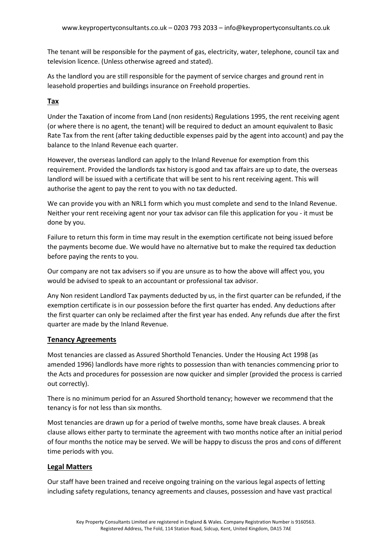The tenant will be responsible for the payment of gas, electricity, water, telephone, council tax and television licence. (Unless otherwise agreed and stated).

As the landlord you are still responsible for the payment of service charges and ground rent in leasehold properties and buildings insurance on Freehold properties.

## **Tax**

Under the Taxation of income from Land (non residents) Regulations 1995, the rent receiving agent (or where there is no agent, the tenant) will be required to deduct an amount equivalent to Basic Rate Tax from the rent (after taking deductible expenses paid by the agent into account) and pay the balance to the Inland Revenue each quarter.

However, the overseas landlord can apply to the Inland Revenue for exemption from this requirement. Provided the landlords tax history is good and tax affairs are up to date, the overseas landlord will be issued with a certificate that will be sent to his rent receiving agent. This will authorise the agent to pay the rent to you with no tax deducted.

We can provide you with an NRL1 form which you must complete and send to the Inland Revenue. Neither your rent receiving agent nor your tax advisor can file this application for you - it must be done by you.

Failure to return this form in time may result in the exemption certificate not being issued before the payments become due. We would have no alternative but to make the required tax deduction before paying the rents to you.

Our company are not tax advisers so if you are unsure as to how the above will affect you, you would be advised to speak to an accountant or professional tax advisor.

Any Non resident Landlord Tax payments deducted by us, in the first quarter can be refunded, if the exemption certificate is in our possession before the first quarter has ended. Any deductions after the first quarter can only be reclaimed after the first year has ended. Any refunds due after the first quarter are made by the Inland Revenue.

## **Tenancy Agreements**

Most tenancies are classed as Assured Shorthold Tenancies. Under the Housing Act 1998 (as amended 1996) landlords have more rights to possession than with tenancies commencing prior to the Acts and procedures for possession are now quicker and simpler (provided the process is carried out correctly).

There is no minimum period for an Assured Shorthold tenancy; however we recommend that the tenancy is for not less than six months.

Most tenancies are drawn up for a period of twelve months, some have break clauses. A break clause allows either party to terminate the agreement with two months notice after an initial period of four months the notice may be served. We will be happy to discuss the pros and cons of different time periods with you.

## **Legal Matters**

Our staff have been trained and receive ongoing training on the various legal aspects of letting including safety regulations, tenancy agreements and clauses, possession and have vast practical